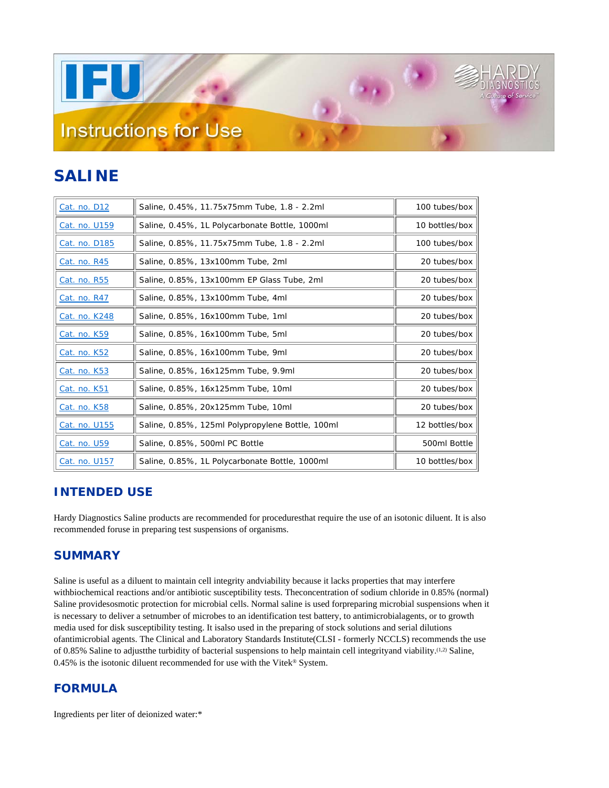**TEU** 

# **Instructions for Use**

## **SALINE**

| Cat. no. D12  | Saline, 0.45%, 11.75x75mm Tube, 1.8 - 2.2ml      | 100 tubes/box  |
|---------------|--------------------------------------------------|----------------|
| Cat. no. U159 | Saline, 0.45%, 1L Polycarbonate Bottle, 1000ml   | 10 bottles/box |
| Cat. no. D185 | Saline, 0.85%, 11.75x75mm Tube, 1.8 - 2.2ml      | 100 tubes/box  |
| Cat. no. R45  | Saline, 0.85%, 13x100mm Tube, 2ml                | 20 tubes/box   |
| Cat. no. R55  | Saline, 0.85%, 13x100mm EP Glass Tube, 2ml       | 20 tubes/box   |
| Cat. no. R47  | Saline, 0.85%, 13x100mm Tube, 4ml                | 20 tubes/box   |
| Cat. no. K248 | Saline, 0.85%, 16x100mm Tube, 1ml                | 20 tubes/box   |
| Cat. no. K59  | Saline, 0.85%, 16x100mm Tube, 5ml                | 20 tubes/box   |
| Cat. no. K52  | Saline, 0.85%, 16x100mm Tube, 9ml                | 20 tubes/box   |
| Cat. no. K53  | Saline, 0.85%, 16x125mm Tube, 9.9ml              | 20 tubes/box   |
| Cat. no. K51  | Saline, 0.85%, 16x125mm Tube, 10ml               | 20 tubes/box   |
| Cat. no. K58  | Saline, 0.85%, 20x125mm Tube, 10ml               | 20 tubes/box   |
| Cat. no. U155 | Saline, 0.85%, 125ml Polypropylene Bottle, 100ml | 12 bottles/box |
| Cat. no. U59  | Saline, 0.85%, 500ml PC Bottle                   | 500ml Bottle   |
| Cat. no. U157 | Saline, 0.85%, 1L Polycarbonate Bottle, 1000ml   | 10 bottles/box |

 $\left( \frac{1}{2} \right)$ 

### **INTENDED USE**

Hardy Diagnostics Saline products are recommended for proceduresthat require the use of an isotonic diluent. It is also recommended foruse in preparing test suspensions of organisms.

#### **SUMMARY**

Saline is useful as a diluent to maintain cell integrity andviability because it lacks properties that may interfere withbiochemical reactions and/or antibiotic susceptibility tests. Theconcentration of sodium chloride in 0.85% (normal) Saline providesosmotic protection for microbial cells. Normal saline is used forpreparing microbial suspensions when it is necessary to deliver a setnumber of microbes to an identification test battery, to antimicrobialagents, or to growth media used for disk susceptibility testing. It isalso used in the preparing of stock solutions and serial dilutions ofantimicrobial agents. The Clinical and Laboratory Standards Institute(CLSI - formerly NCCLS) recommends the use of 0.85% Saline to adjustthe turbidity of bacterial suspensions to help maintain cell integrityand viability.(1,2) Saline, 0.45% is the isotonic diluent recommended for use with the Vitek® System.

#### **FORMULA**

Ingredients per liter of deionized water:\*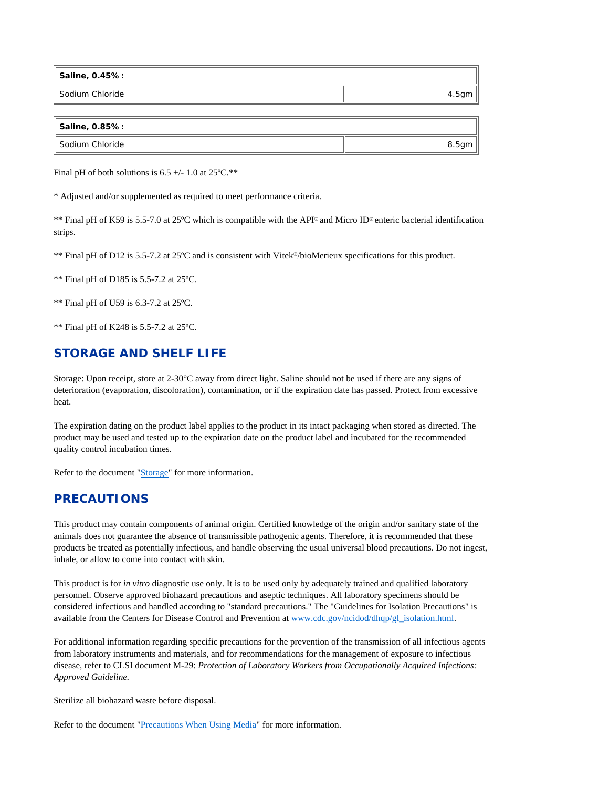| Saline, 0.45%:     |       |
|--------------------|-------|
| ll Sodium Chloride | 4.5gm |

| Saline, 0.85%:     |       |
|--------------------|-------|
| ll Sodium Chloride | 8.5gm |

Final pH of both solutions is  $6.5 +/- 1.0$  at  $25^{\circ}C.*$ 

\* Adjusted and/or supplemented as required to meet performance criteria.

\*\* Final pH of K59 is 5.5-7.0 at 25ºC which is compatible with the API® and Micro ID® enteric bacterial identification strips.

\*\* Final pH of D12 is 5.5-7.2 at 25ºC and is consistent with Vitek®/bioMerieux specifications for this product.

\*\* Final pH of D185 is 5.5-7.2 at 25ºC.

\*\* Final pH of U59 is 6.3-7.2 at 25ºC.

\*\* Final pH of K248 is 5.5-7.2 at 25ºC.

#### **STORAGE AND SHELF LIFE**

Storage: Upon receipt, store at 2-30°C away from direct light. Saline should not be used if there are any signs of deterioration (evaporation, discoloration), contamination, or if the expiration date has passed. Protect from excessive heat.

The expiration dating on the product label applies to the product in its intact packaging when stored as directed. The product may be used and tested up to the expiration date on the product label and incubated for the recommended quality control incubation times.

Refer to the document "Storage" for more information.

#### **PRECAUTIONS**

This product may contain components of animal origin. Certified knowledge of the origin and/or sanitary state of the animals does not guarantee the absence of transmissible pathogenic agents. Therefore, it is recommended that these products be treated as potentially infectious, and handle observing the usual universal blood precautions. Do not ingest, inhale, or allow to come into contact with skin.

This product is for *in vitro* diagnostic use only. It is to be used only by adequately trained and qualified laboratory personnel. Observe approved biohazard precautions and aseptic techniques. All laboratory specimens should be considered infectious and handled according to "standard precautions." The "Guidelines for Isolation Precautions" is available from the Centers for Disease Control and Prevention at www.cdc.gov/ncidod/dhqp/gl\_isolation.html.

For additional information regarding specific precautions for the prevention of the transmission of all infectious agents from laboratory instruments and materials, and for recommendations for the management of exposure to infectious disease, refer to CLSI document M-29: *Protection of Laboratory Workers from Occupationally Acquired Infections: Approved Guideline.* 

Sterilize all biohazard waste before disposal.

Refer to the document "Precautions When Using Media" for more information.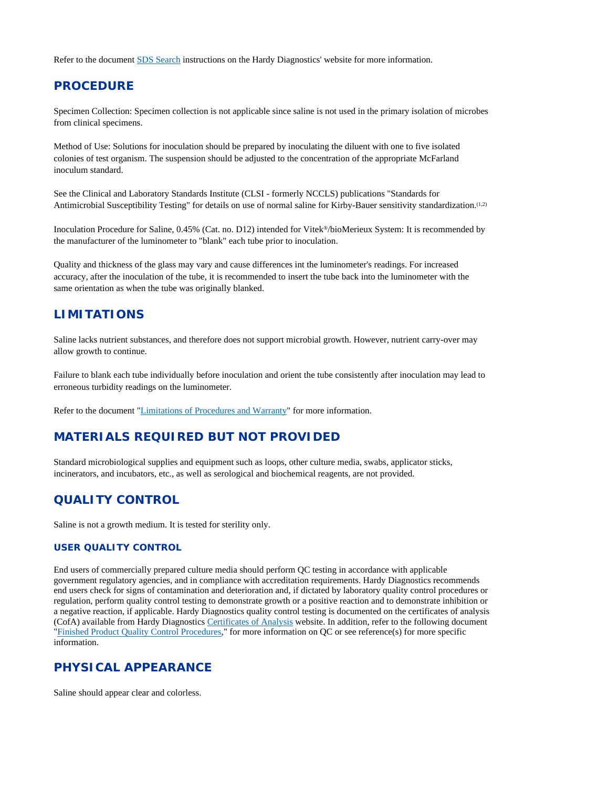Refer to the document SDS Search instructions on the Hardy Diagnostics' website for more information.

#### **PROCEDURE**

Specimen Collection: Specimen collection is not applicable since saline is not used in the primary isolation of microbes from clinical specimens.

Method of Use: Solutions for inoculation should be prepared by inoculating the diluent with one to five isolated colonies of test organism. The suspension should be adjusted to the concentration of the appropriate McFarland inoculum standard.

See the Clinical and Laboratory Standards Institute (CLSI - formerly NCCLS) publications "Standards for Antimicrobial Susceptibility Testing" for details on use of normal saline for Kirby-Bauer sensitivity standardization.(1,2)

Inoculation Procedure for Saline, 0.45% (Cat. no. D12) intended for Vitek®/bioMerieux System: It is recommended by the manufacturer of the luminometer to "blank" each tube prior to inoculation.

Quality and thickness of the glass may vary and cause differences int the luminometer's readings. For increased accuracy, after the inoculation of the tube, it is recommended to insert the tube back into the luminometer with the same orientation as when the tube was originally blanked.

#### **LIMITATIONS**

Saline lacks nutrient substances, and therefore does not support microbial growth. However, nutrient carry-over may allow growth to continue.

Failure to blank each tube individually before inoculation and orient the tube consistently after inoculation may lead to erroneous turbidity readings on the luminometer.

Refer to the document "Limitations of Procedures and Warranty" for more information.

#### **MATERIALS REQUIRED BUT NOT PROVIDED**

Standard microbiological supplies and equipment such as loops, other culture media, swabs, applicator sticks, incinerators, and incubators, etc., as well as serological and biochemical reagents, are not provided.

#### **QUALITY CONTROL**

Saline is not a growth medium. It is tested for sterility only.

#### **USER QUALITY CONTROL**

End users of commercially prepared culture media should perform QC testing in accordance with applicable government regulatory agencies, and in compliance with accreditation requirements. Hardy Diagnostics recommends end users check for signs of contamination and deterioration and, if dictated by laboratory quality control procedures or regulation, perform quality control testing to demonstrate growth or a positive reaction and to demonstrate inhibition or a negative reaction, if applicable. Hardy Diagnostics quality control testing is documented on the certificates of analysis (CofA) available from Hardy Diagnostics Certificates of Analysis website. In addition, refer to the following document "Finished Product Quality Control Procedures," for more information on QC or see reference(s) for more specific information.

#### **PHYSICAL APPEARANCE**

Saline should appear clear and colorless.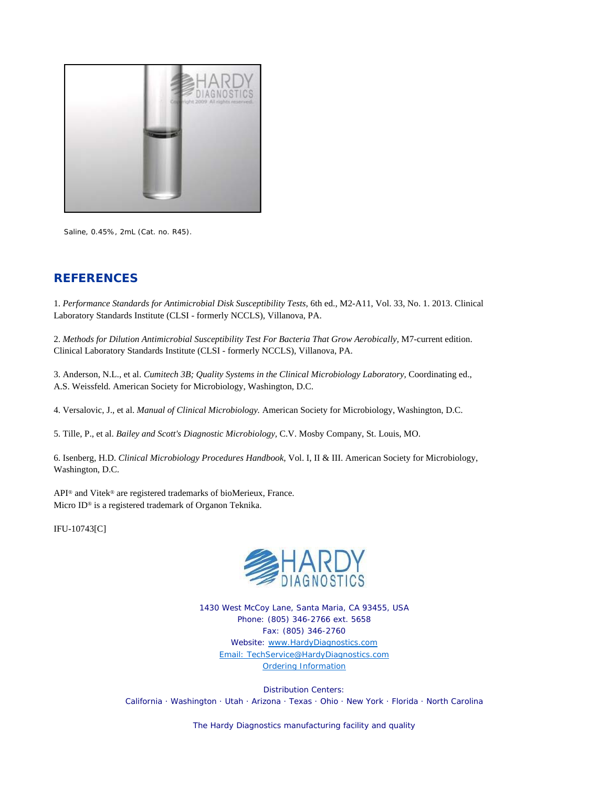

Saline, 0.45%, 2mL (Cat. no. R45).

#### **REFERENCES**

1. *Performance Standards for Antimicrobial Disk Susceptibility Tests,* 6th ed., M2-A11, Vol. 33, No. 1. 2013. Clinical Laboratory Standards Institute (CLSI - formerly NCCLS), Villanova, PA.

2. *Methods for Dilution Antimicrobial Susceptibility Test For Bacteria That Grow Aerobically,* M7-current edition. Clinical Laboratory Standards Institute (CLSI - formerly NCCLS), Villanova, PA.

3. Anderson, N.L., et al. *Cumitech 3B; Quality Systems in the Clinical Microbiology Laboratory,* Coordinating ed., A.S. Weissfeld. American Society for Microbiology, Washington, D.C.

4. Versalovic, J., et al. *Manual of Clinical Microbiology.* American Society for Microbiology, Washington, D.C.

5. Tille, P., et al. *Bailey and Scott's Diagnostic Microbiology,* C.V. Mosby Company, St. Louis, MO.

6. Isenberg, H.D. *Clinical Microbiology Procedures Handbook,* Vol. I, II & III. American Society for Microbiology, Washington, D.C.

API® and Vitek® are registered trademarks of bioMerieux, France. Micro ID® is a registered trademark of Organon Teknika.

IFU-10743[C]



1430 West McCoy Lane, Santa Maria, CA 93455, USA Phone: (805) 346-2766 ext. 5658 Fax: (805) 346-2760 Website: www.HardyDiagnostics.com Email: TechService@HardyDiagnostics.com Ordering Information

Distribution Centers: California · Washington · Utah · Arizona · Texas · Ohio · New York · Florida · North Carolina

The Hardy Diagnostics manufacturing facility and quality